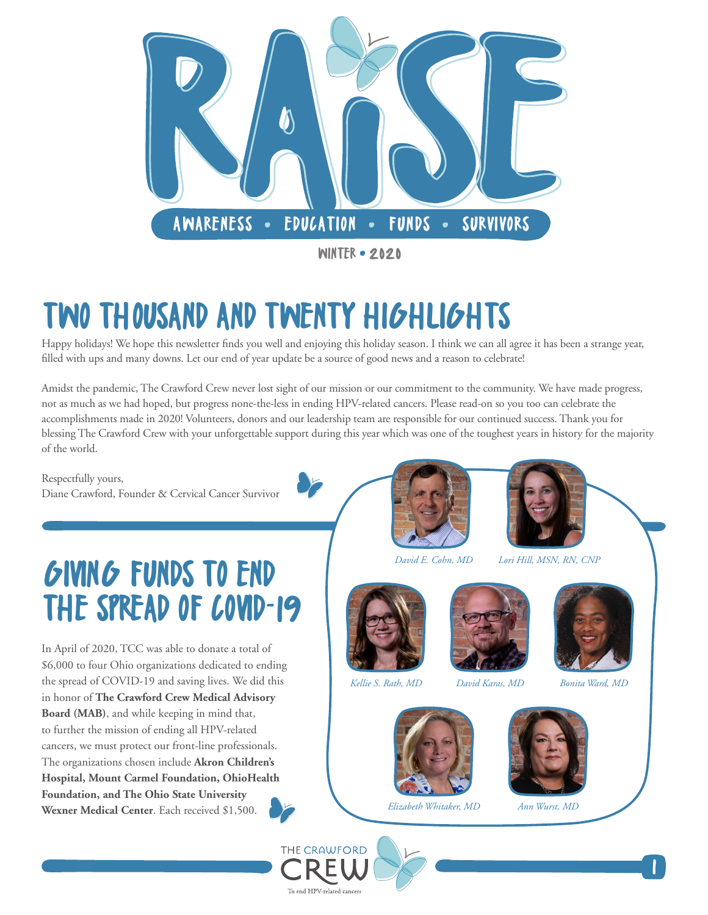

### TWO THOUSAND AND TWENTY HIGHLIGHTS

Happy holidays! We hope this newsletter finds you well and enjoying this holiday season. I think we can all agree it has been a strange year, filled with ups and many downs. Let our end of year update be a source of good news and a reason to celebrate!

Amidst the pandemic, The Crawford Crew never lost sight of our mission or our commitment to the community. We have made progress, not as much as we had hoped, but progress none-the-less in ending HPV-related cancers. Please read-on so you too can celebrate the accomplishments made in 2020! Volunteers, donors and our leadership team are responsible for our continued success. Thank you for blessing The Crawford Crew with your unforgettable support during this year which was one of the toughest years in history for the majority of the world.

Respectfully yours, Diane Crawford, Founder & Cervical Cancer Survivor

#### GIVING FUNDS TO END THE SPREAD OF COVID-19

In April of 2020, TCC was able to donate a total of \$6,000 to four Ohio organizations dedicated to ending the spread of COVID-19 and saving lives. We did this in honor of **[The Crawford Crew Medical Advisory](https://thecrawfordcrew.org/our-team/)  [Board \(MAB\)](https://thecrawfordcrew.org/our-team/)**, and while keeping in mind that, to further the mission of ending all HPV-related cancers, we must protect our front-line professionals. The organizations chosen include **[Akron Children's](https://www.akronchildrens.org/Giving.html)  [Hospital,](https://www.akronchildrens.org/Giving.html) [Mount Carmel Foundation,](https://donor.mountcarmelfoundation.org/COVID-19) [OhioHealth](https://foundation.ohiohealth.com/emergency-assistance)  [Foundation,](https://foundation.ohiohealth.com/emergency-assistance) and [The Ohio State University](https://wexnermedical.osu.edu/features/coronavirus/ways-to-help)  [Wexner Medical Center](https://wexnermedical.osu.edu/features/coronavirus/ways-to-help)**. Each received \$1,500.





 *David E. Cohn, MD Lori Hill, MSN, RN, CNP* 



*Kellie S. Rath, MD David Karas, MD*













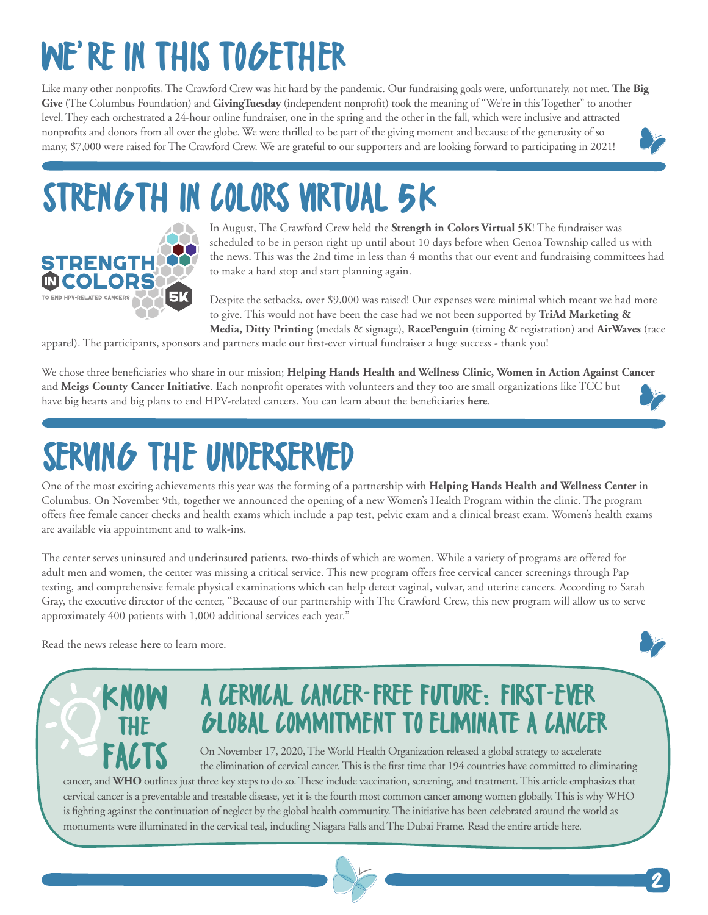# WE'RE IN THIS TOGETHER

Like many other nonprofits, The Crawford Crew was hit hard by the pandemic. Our fundraising goals were, unfortunately, not met. **[The Big](https://columbusfoundation.org/giving-events/big-give-2020)  [Give](https://columbusfoundation.org/giving-events/big-give-2020)** (The Columbus Foundation) and **[GivingTuesday](https://hq.givingtuesday.org/)** (independent nonprofit) took the meaning of "We're in this Together" to another level. They each orchestrated a 24-hour online fundraiser, one in the spring and the other in the fall, which were inclusive and attracted nonprofits and donors from all over the globe. We were thrilled to be part of the giving moment and because of the generosity of so many, \$7,000 were raised for The Crawford Crew. We are grateful to our supporters and are looking forward to participating in 2021!

# STRENGTH IN COLORS VIRTUAL 5K



In August, The Crawford Crew held the **[Strength in Colors Virtual 5K](https://thecrawfordcrew.org/strengthincolors5k/)**! The fundraiser was scheduled to be in person right up until about 10 days before when Genoa Township called us with the news. This was the 2nd time in less than 4 months that our event and fundraising committees had to make a hard stop and start planning again.

Despite the setbacks, over \$9,000 was raised! Our expenses were minimal which meant we had more to give. This would not have been the case had we not been supported by **[TriAd Marketing &](https://triad-inc.com/)  [Media,](https://triad-inc.com/) [Ditty Printing](https://www.dittyprinting.com/)** (medals & signage), **[RacePenguin](http://racepenguin.com/)** (timing & registration) and **[AirWaves](https://airwavesinc.com/)** (race

apparel). The participants, sponsors and partners made our first-ever virtual fundraiser a huge success - thank you!

We chose three beneficiaries who share in our mission; **[Helping Hands Health and Wellness Clinic,](https://www.helpinghandsfreeclinic.org/) [Women in Action Against Cancer](https://www.facebook.com/WIAACC)** and **[Meigs County Cancer Initiative](https://www.meigs-health.com/event/meigs-county-cancer-initiative-inc/)**. Each nonprofit operates with volunteers and they too are small organizations like TCC but have big hearts and big plans to end HPV-related cancers. You can learn about the beneficiaries **[here](https://thecrawfordcrew.org/strengthincolors5k/)**.

### SERVING THE UNDERSERVED

One of the most exciting achievements this year was the forming of a partnership with **[Helping Hands Health and Wellness Center](https://www.helpinghandsfreeclinic.org/)** in Columbus. On November 9th, together we announced the opening of a new Women's Health Program within the clinic. The program offers free female cancer checks and health exams which include a pap test, pelvic exam and a clinical breast exam. Women's health exams are available via appointment and to walk-ins.

The center serves uninsured and underinsured patients, two-thirds of which are women. While a variety of programs are offered for adult men and women, the center was missing a critical service. This new program offers free cervical cancer screenings through Pap testing, and comprehensive female physical examinations which can help detect vaginal, vulvar, and uterine cancers. According to Sarah Gray, the executive director of the center, "Because of our partnership with The Crawford Crew, this new program will allow us to serve approximately 400 patients with 1,000 additional services each year."

Read the news release **[here](https://thecrawfordcrew.org/wp-content/uploads/2020/11/Helping-Hands-Release-1111-Final.pdf)** to learn more.



#### A CERVICAL CANCER-FREE FUTURE: FIRST-EVER GLOBAL COMMITMENT TO ELIMINATE A CANCER

On November 17, 2020, The World Health Organization released a global strategy to accelerate the elimination of cervical cancer. This is the first time that 194 countries have committed to eliminating Cancer, and **WHO** outlines just three key steps to do so. These include vaccination, screening, and treatment. This article emphasizes that are well with the elimination of cervical cancer. This is the first time that 194

2

cervical cancer is a preventable and treatable disease, yet it is the fourth most common cancer among women globally. This is why WHO is fighting against the continuation of neglect by the global health community. The initiative has been celebrated around the world as monuments were illuminated in the cervical teal, including Niagara Falls and The Dubai Frame. Read the entire article [here.](https://www.who.int/news/item/17-11-2020-a-cervical-cancer-free-future-first-ever-global-commitment-to-eliminate-a-cancer)